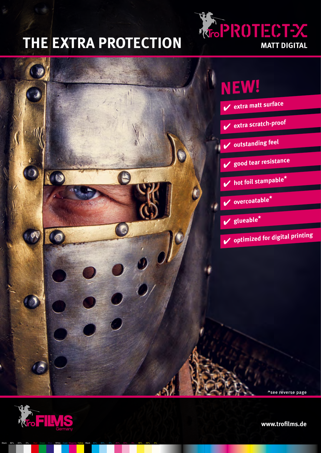## **THE EXTRA PROTECTION**







Black 80% 40% 5% Red Green Blue White Cyan Magenta Yellow Black 80% 40% 5% 80% 40% 5% 80% 40% 5%

**www.trofilms.de**